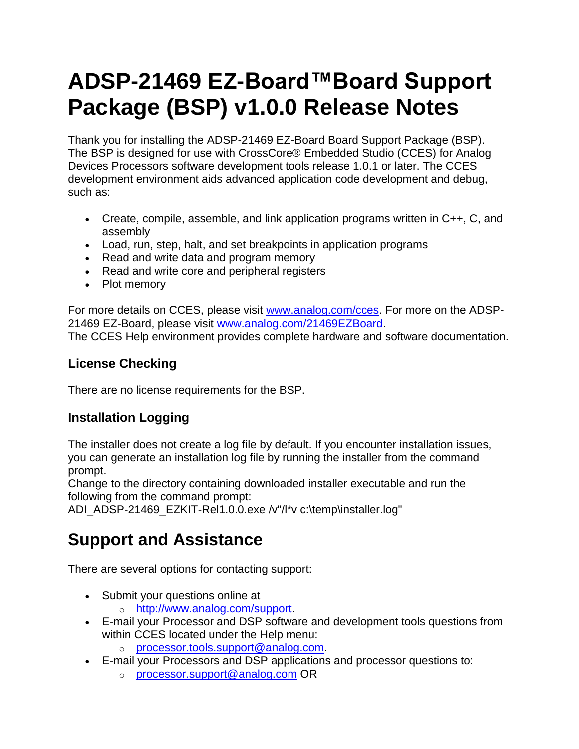# **ADSP-21469 EZ-Board™Board Support Package (BSP) v1.0.0 Release Notes**

Thank you for installing the ADSP-21469 EZ-Board Board Support Package (BSP). The BSP is designed for use with CrossCore® Embedded Studio (CCES) for Analog Devices Processors software development tools release 1.0.1 or later. The CCES development environment aids advanced application code development and debug, such as:

- Create, compile, assemble, and link application programs written in C++, C, and assembly
- Load, run, step, halt, and set breakpoints in application programs
- Read and write data and program memory
- Read and write core and peripheral registers
- Plot memory

For more details on CCES, please visit [www.analog.com/cces.](http://www.analog.com/cces) For more on the ADSP-21469 EZ-Board, please visit [www.analog.com/21469EZBoard.](http://www.analog.com/21469EZBoard) The CCES Help environment provides complete hardware and software documentation.

#### **License Checking**

There are no license requirements for the BSP.

#### **Installation Logging**

The installer does not create a log file by default. If you encounter installation issues, you can generate an installation log file by running the installer from the command prompt.

Change to the directory containing downloaded installer executable and run the following from the command prompt:

ADI\_ADSP-21469\_EZKIT-Rel1.0.0.exe /v"/l\*v c:\temp\installer.log"

## **Support and Assistance**

There are several options for contacting support:

- Submit your questions online at
	- o [http://www.analog.com/support.](http://www.analog.com/support)
- E-mail your Processor and DSP software and development tools questions from within CCES located under the Help menu:
	- o [processor.tools.support@analog.com.](mailto:processor.tools.support@analog.com)
- E-mail your Processors and DSP applications and processor questions to:
	- o [processor.support@analog.com](mailto:processor.support@analog.com) OR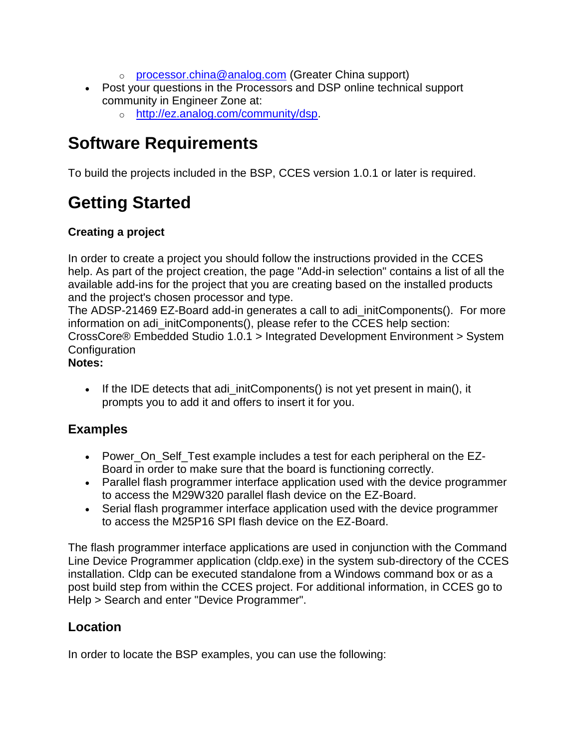- o [processor.china@analog.com](mailto:processor.china@analog.com) (Greater China support)
- Post your questions in the Processors and DSP online technical support community in Engineer Zone at:
	- o [http://ez.analog.com/community/dsp.](http://ez.analog.com/community/dsp)

### **Software Requirements**

To build the projects included in the BSP, CCES version 1.0.1 or later is required.

# **Getting Started**

#### **Creating a project**

In order to create a project you should follow the instructions provided in the CCES help. As part of the project creation, the page "Add-in selection" contains a list of all the available add-ins for the project that you are creating based on the installed products and the project's chosen processor and type.

The ADSP-21469 EZ-Board add-in generates a call to adi\_initComponents(). For more information on adi\_initComponents(), please refer to the CCES help section: CrossCore® Embedded Studio 1.0.1 > Integrated Development Environment > System **Configuration** 

#### **Notes:**

• If the IDE detects that adi\_initComponents() is not yet present in main(), it prompts you to add it and offers to insert it for you.

#### **Examples**

- Power On Self Test example includes a test for each peripheral on the EZ-Board in order to make sure that the board is functioning correctly.
- Parallel flash programmer interface application used with the device programmer to access the M29W320 parallel flash device on the EZ-Board.
- Serial flash programmer interface application used with the device programmer to access the M25P16 SPI flash device on the EZ-Board.

The flash programmer interface applications are used in conjunction with the Command Line Device Programmer application (cldp.exe) in the system sub-directory of the CCES installation. Cldp can be executed standalone from a Windows command box or as a post build step from within the CCES project. For additional information, in CCES go to Help > Search and enter "Device Programmer".

#### **Location**

In order to locate the BSP examples, you can use the following: